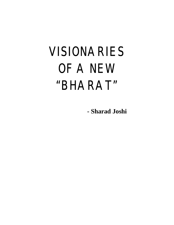# VISIONARIES OF A NEW "BHARAT"

 **- Sharad Joshi**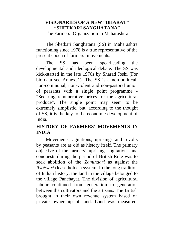## **VISIONARIES OF A NEW "BHARAT" "SHETKARI SANGHATANA"**

The Farmers' Organization in Maharashtra

The Shetkari Sanghatana (SS) in Maharashtra functioning since 1978 is a true representative of the present epoch of farmers' movements.

The SS has been spearheading the developmental and ideological debate. The SS was kick-started in the late 1970s by Sharad Joshi (For bio-data see Annexe1). The SS is a non-political, non-communal, non-violent and non-pastoral union of peasants with a single point programme - "Securing remunerative prices for the agricultural produce". The single point may seem to be extremely simplistic, but, according to the thought of SS, it is the key to the economic development of India.

## **HISTORY OF FARMERS' MOVEMENTS IN INDIA**

Movements, agitations, uprisings and revolts by peasants are as old as history itself. The primary objective of the farmers' uprisings, agitations and conquests during the period of British Rule was to seek abolition of the *Zamindari* as against the *Ryotwari* (lease holder) system. In the long tradition of Indian history, the land in the village belonged to the village Panchayat. The division of agricultural labour continued from generation to generation between the cultivators and the artisans. The British brought in their own revenue system based on private ownership of land. Land was measured,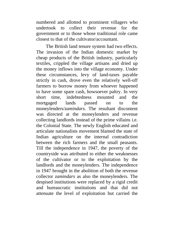numbered and allotted to prominent villagers who undertook to collect their revenue for the government or to those whose traditional role came closest to that of the cultivator/accountant.

The British land tenure system had two effects. The invasion of the Indian domestic market by cheap products of the British industry, particularly textiles, crippled the village artisans and dried up the money inflows into the village economy. Under these circumstances, levy of land-taxes payable strictly in cash, drove even the relatively well-off farmers to borrow money from whoever happened to have some spare cash, howsoever paltry. In very short time, indebtedness mounted and the mortgaged lands passed on to the moneylenders/*zamindars*. The resultant discontent was directed at the moneylenders and revenue collecting landlords instead of the prime villains i.e. the Colonial State. The newly English educated and articulate nationalists movement blamed the state of Indian agriculture on the internal contradiction between the rich farmers and the small peasants. Till the independence in 1947, the poverty of the countryside was attributed to either the weaknesses of the cultivator or to the exploitation by the landlords and the moneylenders. The independence in 1947 brought in the abolition of both the revenue collector *zamindars* as also the moneylenders. The despised institutions were replaced by a rigid credit and bureaucratic institutions and that did not attenuate the level of exploitation but carried the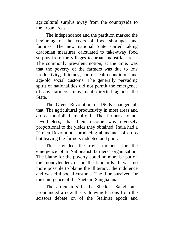agricultural surplus away from the countryside to the urban areas.

The independence and the partition marked the beginning of the years of food shortages and famines. The new national State started taking draconian measures calculated to take-away food surplus from the villages to urban industrial areas. The commonly prevalent notion, at the time, was that the poverty of the farmers was due to low productivity, illiteracy, poorer health conditions and age-old social customs. The generally pervading spirit of nationalities did not permit the emergence of any farmers' movement directed against the State.

The Green Revolution of 1960s changed all that. The agricultural productivity in most areas and crops multiplied manifold. The farmers found, nevertheless, that their income was inversely proportional to the yields they obtained. India had a "Green Revolution" producing abundance of crops but leaving the farmers indebted and poor.

This signaled the right moment for the emergence of a Nationalist farmers' organization. The blame for the poverty could no more be put on the moneylenders or on the landlords. It was no more possible to blame the illiteracy, the indolence and wasteful social customs. The time survived for the emergence of the Shetkari Sanghatana.

The articulators in the Shetkari Sanghatana propounded a new thesis drawing lessons from the scissors debate on of the Stalinist epoch and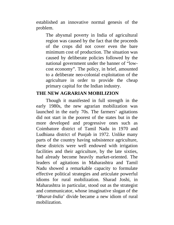established an innovative normal genesis of the problem.

The abysmal poverty in India of agricultural region was caused by the fact that the proceeds of the crops did not cover even the bare minimum cost of production. The situation was caused by deliberate policies followed by the national government under the banner of "lowcost economy". The policy, in brief, amounted to a deliberate neo-colonial exploitation of the agriculture in order to provide the cheap primary capital for the Indian industry.

## **THE NEW AGRARIAN MOBILIZION**

Though it manifested in full strength in the early 1980s, the new agrarian mobilization was launched in the early 70s. The farmers' agitations did not start in the poorest of the states but in the more developed and progressive ones such as Coimbatore district of Tamil Nadu in 1970 and Ludhiana district of Punjab in 1972. Unlike many parts of the country having subsistence agriculture, these districts were well endowed with irrigation facilities and their agriculture, by the late sixties, had already become heavily market-oriented. The leaders of agitations in Maharashtra and Tamil Nadu showed a remarkable capacity to formulate effective political strategies and articulate powerful idioms for rural mobilization. Sharad Joshi, in Maharashtra in particular, stood out as the strategist and communicator, whose imaginative slogan of the '*Bharat-India*' divide became a new idiom of rural mobilization.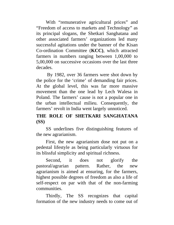With "remunerative agricultural prices" and "Freedom of access to markets and Technology" as its principal slogans, the Shetkari Sanghatana and other associated farmers' organizations led many successful agitations under the banner of the Kisan Co-ordination Committee (**KCC)**, which attracted farmers in numbers ranging between 1,00,000 to 5,00,000 on successive occasions over the last three decades.

By 1982, over 36 farmers were shot down by the police for the 'crime' of demanding fair prices. At the global level, this was far more massive movement than the one lead by Lech Walesa in Poland. The farmers' cause is not a popular one in the urban intellectual milieu. Consequently, the farmers' revolt in India went largely unnoticed.

## **THE ROLE OF SHETKARI SANGHATANA (SS)**

SS underlines five distinguishing features of the new agrarianism.

First, the new agrarianism dose not put on a pedestal lifestyle as being particularly virtuous for its blissful simplicity and spiritual richness.

Second, it does not glorify the pastoral/agrarian pattern. Rather, the new agrarianism is aimed at ensuring, for the farmers, highest possible degrees of freedom as also a life of self-respect on par with that of the non-farming communities.

Thirdly, The SS recognizes that capital formation of the new industry needs to come out of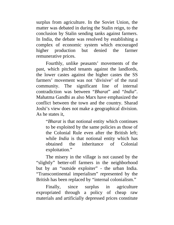surplus from agriculture. In the Soviet Union, the matter was debated in during the Stalin reign, to the conclusion by Stalin sending tanks against farmers. In India, the debate was resolved by establishing a complex of economic system which encouraged higher production but denied the farmer remunerative prices.

Fourthly, unlike peasants' movements of the past, which pitched tenants against the landlords, the lower castes against the higher castes the SS farmers' movement was not 'divisive' of the rural community. The significant line of internal contradiction was between "*Bharat*" and "*India*". Mahatma Gandhi as also Marx have emphasized the conflict between the town and the country. Sharad Joshi's view does not make a geographical division. As he states it,

"*Bharat* is that notional entity which continues to be exploited by the same policies as those of the Colonial Rule even after the British left; while *India* is that notional entity which has obtained the inheritance of Colonial exploitation."

The misery in the village is not caused by the "slightly" better-off farmers in the neighborhood but by an "outside exploiter" - the urban India. "Transcontinental imperialism" represented by the British has been replaced by "internal colonialism."

Finally, since surplus in agriculture expropriated through a policy of cheap raw materials and artificially depressed prices constitute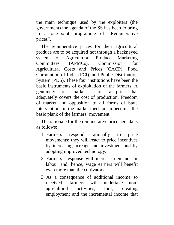the main technique used by the exploiters (the government) the agenda of the SS has been to bring in a one-point programme of "Remunerative prices".

The remunerative prices for their agricultural produce are to be acquired not through a hackneyed system of Agricultural Produce Marketing Committees (APMCs), Commission for Agricultural Costs and Prices (CACP), Food Corporation of India (FCI), and Public Distribution System (PDS). These four institutions have been the basic instruments of exploitation of the farmers. A genuinely free market assures a price that adequately covers the cost of production. Freedom of market and opposition to all forms of State interventions in the market mechanism becomes the basic plank of the farmers' movement.

The rationale for the remunerative price agenda is as follows:

- 1. Farmers respond rationally to price movements; they will react to price incentives by increasing acreage and investment and by adopting improved technology.
- 2. Farmers' response will increase demand for labour and, hence, wage earners will benefit even more than the cultivators.
- 3. As a consequence of additional income so received, farmers will undertake nonagricultural activities; thus, creating employment and the incremental income that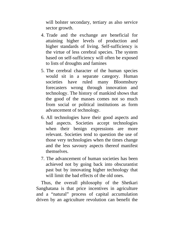will bolster secondary, tertiary as also service sector growth.

- 4. Trade and the exchange are beneficial for attaining higher levels of production and higher standards of living. Self-sufficiency is the virtue of less cerebral species. The system based on self-sufficiency will often be exposed to lists of droughts and famines
- 5. The cerebral character of the human species would sit in a separate category. Human societies have ruled many Bloomsbury forecasters wrong through innovation and technology. The history of mankind shows that the good of the masses comes not so much from social or political institutions as form advancement of technology.
- 6. All technologies have their good aspects and bad aspects. Societies accept technologies when their benign expressions are more relevant. Societies tend to question the use of those very technologies when the times change and the less savoury aspects thereof manifest themselves.
- 7. The advancement of human societies has been achieved not by going back into obscurantist past but by innovating higher technology that will limit the bad effects of the old ones.

Thus, the overall philosophy of the Shetkari Sanghatana is that price incentives in agriculture and a "natural" process of capital accumulation driven by an agriculture revolution can benefit the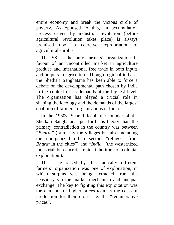entire economy and break the vicious circle of poverty. As opposed to this, an accumulation process driven by industrial revolution (before agricultural revolution takes place) is always premised upon a coercive expropriation of agricultural surplus.

The SS is the only farmers' organization in favour of an uncontrolled market in agriculture produce and international free trade in both inputs and outputs in agriculture. Though regional in base, the Shetkari Sanghatana has been able to force a debate on the developmental path chosen by India in the context of its demands at the highest level. The organization has played a crucial role in shaping the ideology and the demands of the largest coalition of farmers' organisations in India.

In the 1980s, Sharad Joshi, the founder of the Shetkari Sanghatana, put forth his theory that, the primary contradiction in the country was between "*Bharat*" (primarily the villages but also including the unorganized urban sector: "refugees from *Bharat* in the cities") and "*India*" (the westernized industrial bureaucratic elite, inheritors of colonial exploitation.).

The issue raised by this radically different farmers' organization was one of exploitation, in which surplus was being extracted from the peasantry via the market mechanism and unequal exchange. The key to fighting this exploitation was the demand for higher prices to meet the costs of production for their crops, i.e. the "remunerative prices".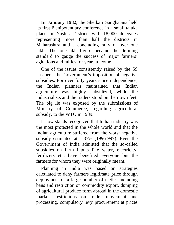**In January 1982**, the Shetkari Sanghatana held its first Plenipotentiary conference in a small taluka place in Nashik District, with 18,000 delegates representing more than half the districts in Maharashtra and a concluding rally of over one lakh. The one-lakh figure became the defining standard to gauge the success of major farmers' agitations and rallies for years to come.

One of the issues consistently raised by the SS has been the Government's imposition of negative subsidies. For over forty years since independence, the Indian planners maintained that Indian agriculture was highly subsidized, while the industrialists and the traders stood on their own feet. The big lie was exposed by the submissions of Ministry of Commerce, regarding agricultural subsidy, to the WTO in 1989.

It now stands recognized that Indian industry was the most protected in the whole world and that the Indian agriculture suffered from the worst negative subsidy estimated at - 87% (1996-997). Even the Government of India admitted that the so-called subsidies on farm inputs like water, electricity, fertilizers etc. have benefited everyone but the farmers for whom they were originally meant.

Planning in India was based on strategies calculated to deny farmers legitimate price through deployment of a large number of tactics including bans and restriction on commodity export, dumping of agricultural produce form abroad in the domestic market, restrictions on trade, movement and processing, compulsory levy procurement at prices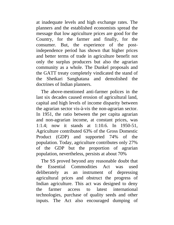at inadequate levels and high exchange rates. The planners and the established economists spread the message that low agriculture prices are good for the Country, for the farmer and finally, for the consumer. But, the experience of the postindependence period has shown that higher prices and better terms of trade in agriculture benefit not only the surplus producers but also the agrarian community as a whole. The Dunkel proposals and the GATT treaty completely vindicated the stand of the Shetkari Sanghatana and demolished the doctrines of Indian planners.

The above-mentioned anti-farmer polices in the last six decades caused erosion of agricultural land, capital and high levels of income disparity between the agrarian sector vis-à-vis the non-agrarian sector. In 1951, the ratio between the per capita agrarian and non-agrarian income, at constant prices, was 1:1.4; now it stands at 1:10.6. In 1950-51, Agriculture contributed 63% of the Gross Domestic Product (GDP) and supported 74% of the population. Today, agriculture contributes only 27% of the GDP but the proportion of agrarian population, nevertheless, persists at about 70%

The SS proved beyond any reasonable doubt that the Essential Commodities Act was used deliberately as an instrument of depressing agricultural prices and obstruct the progress of Indian agriculture. This act was designed to deny the farmer access to latest international technologies, purchase of quality seeds and other inputs. The Act also encouraged dumping of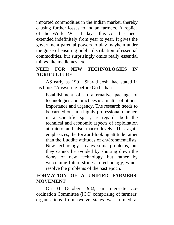imported commodities in the Indian market, thereby causing further losses to Indian farmers. A replica of the World War II days, this Act has been extended indefinitely from year to year. It gives the government parental powers to play mayhem under the guise of ensuring public distribution of essential commodities, but surprisingly omits really essential things like medicines, etc.

# **NEED FOR NEW TECHNOLOGIES IN AGRICULTURE**

AS early as 1991, Sharad Joshi had stated in his book "Answering before God" that:

Establishment of an alternative package of technologies and practices is a matter of utmost importance and urgency. The research needs to be carried out in a highly professional manner, in a scientific spirit, as regards both the technical and economic aspects of exploitation at micro and also macro levels. This again emphasizes, the forward-looking attitude rather than the Luddite attitudes of environmentalists. New technology creates some problems, but they cannot be avoided by shutting down the doors of new technology but rather by welcoming future strides in technology, which resolve the problems of the past epoch.

## **FORMATION OF A UNIFIED FARMERS' MOVEMENT**

On 31 October 1982, an Interstate Coordination Committee (ICC) comprising of farmers' organisations from twelve states was formed at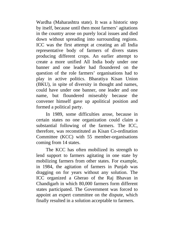Wardha (Maharashtra state). It was a historic step by itself, because until then most farmers' agitations in the country arose on purely local issues and died down without spreading into surrounding regions. ICC was the first attempt at creating an all India representative body of farmers of divers states producing different crops. An earlier attempt to create a more unified All India body under one banner and one leader had floundered on the question of the role farmers' organisations had to play in active politics. Bharatiya Kisan Union (BKU), in spite of diversity in thought and names, could have under one banner, one leader and one name, but floundered miserably because the convener himself gave up apolitical position and formed a political party.

In 1989, some difficulties arose, because in certain states no one organization could claim a substantial following of the farmers. The ICC, therefore, was reconstituted as Kisan Co-ordination Committee (KCC) with 55 member-organisations coming from 14 states.

The KCC has often mobilized its strength to lend support to farmers agitating in one state by mobilizing farmers from other states. For example, in 1984, the agitation of farmers in Punjab was dragging on for years without any solution. The ICC organized a Gherao of the Raj Bhavan in Chandigarh in which 80,000 farmers form different states participated. The Government was forced to appoint an expert committee on the dispute, which finally resulted in a solution acceptable to farmers.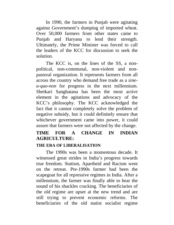In 1990, the farmers in Punjab were agitating against Government's dumping of imported wheat. Over 50,000 farmers from other states came to Punjab and Haryana to lend their strength. Ultimately, the Prime Minister was forced to call the leaders of the KCC for discussion to seek the solution.

The KCC is, on the lines of the SS, a nonpolitical, non-communal, non-violent and nonpastoral organization. It represents farmers from all across the country who demand free trade as a *sinea-quo-non* for progress in the next millennium. Shetkari Sanghatana has been the most active element in the agitations and advocacy of the KCC's philosophy. The KCC acknowledged the fact that it cannot completely solve the problem of negative subsidy, but it could definitely ensure that whichever government came into power, it could assure that farmers were not affected by the change.

# **TIME FOR A CHANGE IN INDIAN AGRICULTURE:**

#### **THE ERA OF LIBERALISATION**

The 1990s was been a momentous decade. It witnessed great strides in India's progress towards true freedom. Statism, Apartheid and Racism went on the retreat. Pre-1990s farmer had been the scapegoat for all repressive regimes in India. After a millennium, the farmer was finally able to hear the sound of his shackles cracking. The beneficiaries of the old regime are upset at the new trend and are still trying to prevent economic reforms. The beneficiaries of the old statist socialist regime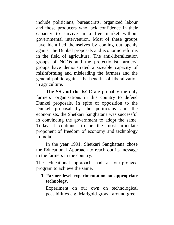include politicians, bureaucrats, organized labour and those producers who lack confidence in their capacity to survive in a free market without governmental intervention. Most of these groups have identified themselves by coming out openly against the Dunkel proposals and economic reforms in the field of agriculture. The anti-liberalization groups of NGOs and the protectionist farmers' groups have demonstrated a sizeable capacity of misinforming and misleading the farmers and the general public against the benefits of liberalization in agriculture.

**The SS and the KCC** are probably the only farmers' organisations in this country to defend Dunkel proposals. In spite of opposition to the Dunkel proposal by the politicians and the economists, the Shetkari Sanghatana was successful in convincing the government to adopt the same. Today it continues to be the most articulate proponent of freedom of economy and technology in India.

In the year 1991, Shetkari Sanghatana chose the Educational Approach to reach out its message to the farmers in the country.

The educational approach had a four-pronged program to achieve the same.

## **1. Farmer-level experimentation on appropriate technology.**

Experiment on our own on technological possibilities e.g. Marigold grown around green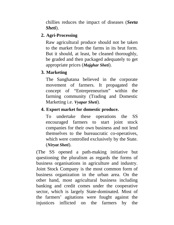chillies reduces the impact of diseases (*Seeta Sheti*).

## **2. Agri-Processing**

Raw agricultural produce should not be taken to the market from the farms in its brut form. But it should, at least, be cleaned thoroughly, be graded and then packaged adequately to get appropriate prices (*Majghar Sheti*).

# **3. Marketing**

The Sanghatana believed in the corporate movement of farmers. It propagated the concept of "Entrepreneurism" within the farming community (Trading and Domestic Marketing i.e. *Vyapar Sheti*).

# **4. Export market for domestic produce.**

To undertake these operations the SS encouraged farmers to start joint stock companies for their own business and not lend themselves to the bureaucratic co-operatives, which were controlled exclusively by the State. (*Niryat Sheti*).

(The SS opened a path-making initiative but questioning the pluralism as regards the forms of business organisations in agriculture and industry. Joint Stock Company is the most common form of business organization in the urban area. On the other hand, most agricultural business including banking and credit comes under the cooperative sector, which is largely State-dominated. Most of the farmers' agitations were fought against the injustices inflicted on the farmers by the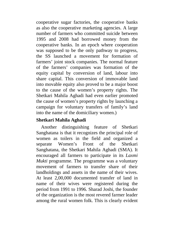cooperative sugar factories, the cooperative banks as also the cooperative marketing agencies. A large number of farmers who committed suicide between 1995 and 2008 had borrowed money from the cooperative banks. In an epoch where cooperation was supposed to be the only pathway to progress, the SS launched a movement for formation of farmers' joint stock companies. The normal feature of the farmers' companies was formation of the equity capital by conversion of land, labour into share capital. This conversion of immovable land into movable equity also proved to be a major boost to the cause of the women's property rights. The Shetkari Mahila Aghadi had even earlier promoted the cause of women's property rights by launching a campaign for voluntary transfers of family's land into the name of the domiciliary women.)

## **Shetkari Mahila Aghadi**

Another distinguishing feature of Shetkari Sanghatana is that it recognizes the principal role of women as toilers in the field and organized a separate Women's Front of the Shetkari Sanghatana, the Shetkari Mahila Aghadi (SMA). It encouraged all farmers to participate in its *Laxmi Mukti* programme. The programme was a voluntary movement of farmers to transfer share of their landholdings and assets in the name of their wives. At least 2,00,000 documented transfer of land in name of their wives were registered during the period from 1991 to 1996. Sharad Joshi, the founder of the organization is the most revered farmer leader among the rural women folk. This is clearly evident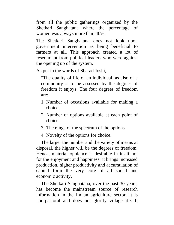from all the public gatherings organized by the Shetkari Sanghatana where the percentage of women was always more than 40%.

The Shetkari Sanghatana does not look upon government intervention as being beneficial to farmers at all. This approach created a lot of resentment from political leaders who were against the opening up of the system.

As put in the words of Sharad Joshi,

"The quality of life of an individual, as also of a community is to be assessed by the degrees of freedom it enjoys. The four degrees of freedom are:

- 1. Number of occasions available for making a choice.
- 2. Number of options available at each point of choice.
- 3. The range of the spectrum of the options.

4. Novelty of the options for choice.

The larger the number and the variety of means at disposal, the higher will be the degrees of freedom. Hence, material opulence is desirable in itself not for the enjoyment and happiness: it brings increased production, higher productivity and accumulation of capital form the very core of all social and economic activity.

The Shetkari Sanghatana, over the past 30 years, has become the mainstream source of research information in the Indian agriculture sector. It is non-pastoral and does not glorify village-life. It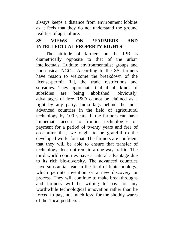always keeps a distance from environment lobbies as it feels that they do not understand the ground realities of agriculture.

# **SS VIEWS ON 'FARMERS AND INTELLECTUAL PROPERTY RIGHTS'**

The attitude of farmers on the IPR is diametrically opposite to that of the urban intellectuals, Luddite environmentalist groups and nonsensical NGOs. According to the SS, farmers have reason to welcome the breakdown of the license-permit Raj, the trade restrictions and subsidies. They appreciate that if all kinds of subsidies are being abolished, obviously, advantages of free R&D cannot be claimed as a right by any party. India lags behind the most advanced countries in the field of agricultural technology by 100 years. If the farmers can have immediate access to frontier technologies on payment for a period of twenty years and free of cost after that, we ought to be grateful to the developed world for that. The farmers are confident that they will be able to ensure that transfer of technology does not remain a one-way traffic. The third world countries have a natural advantage due to its rich bio-diversity. The advanced countries have substantial lead in the field of biotechnology, which permits invention or a new discovery or process. They will continue to make breakthroughs and farmers will be willing to pay for any worthwhile technological innovation rather than be forced to pay, not much less, for the shoddy wares of the 'local peddlers'.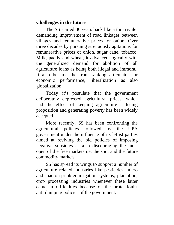## **Challenges in the future**

The SS started 30 years back like a thin rivulet demanding improvement of road linkages between villages and remunerative prices for onion. Over three decades by pursuing strenuously agitations for remunerative prices of onion, sugar cane, tobacco, Milk, paddy and wheat, it advanced logically with the generalized demand for abolition of all agriculture loans as being both illegal and immoral. It also became the front ranking articulator for economic performance, liberalization as also globalization.

Today it's postulate that the government deliberately depressed agricultural prices, which had the effect of keeping agriculture a losing proposition and generating poverty has been widely accepted.

More recently, SS has been confronting the agricultural policies followed by the UPA government under the influence of its leftist parties aimed at reviving the old policies of imposing negative subsidies as also discouraging the most open of the free markets i.e. the spot and the future commodity markets.

SS has spread its wings to support a number of agriculture related industries like pesticides, micro and macro sprinkler irrigation systems, plantation, crop processing industries whenever these latter came in difficulties because of the protectionist anti-dumping policies of the government.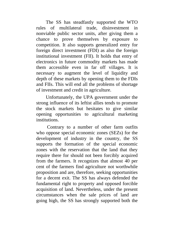The SS has steadfastly supported the WTO rules of multilateral trade, disinvestment in nonviable public sector units, after giving them a chance to prove themselves by exposure to competition. It also supports generalized entry for foreign direct investment (FDI) as also the foreign institutional investment (FII). It holds that entry of electronics in future commodity markets has made them accessible even in far off villages. It is necessary to augment the level of liquidity and depth of these markets by opening them to the FDIs and FIIs. This will end all the problems of shortage of investment and credit in agriculture.

Unfortunately, the UPA government under the strong influence of its leftist allies tends to promote the stock markets but hesitates to give similar opening opportunities to agricultural marketing institutions.

Contrary to a number of other farm outfits who oppose special economic zones (SEZs) for the development of industry in the country, the SS supports the formation of the special economic zones with the reservation that the land that they require there for should not been forcibly acquired from the farmers. It recognizes that almost 40 per cent of the farmers find agriculture not worthwhile proposition and are, therefore, seeking opportunities for a decent exit. The SS has always defended the fundamental right to property and opposed forcible acquisition of land. Nevertheless, under the present circumstances when the sale prices of land are going high, the SS has strongly supported both the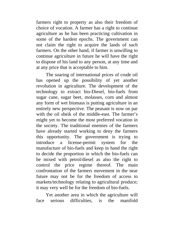farmers right to property as also their freedom of choice of vocation. A farmer has a right to continue agriculture as he has been practicing cultivation in some of the hardest epochs. The government can not claim the right to acquire the lands of such farmers. On the other hand, if farmer is unwilling to continue agriculture in future he will have the right to dispose of his land to any person, at any time and at any price that is acceptable to him.

The soaring of international prices of crude oil has opened up the possibility of yet another revolution in agriculture. The development of the technology to extract bio-Diesel, bio-fuels from sugar cane, sugar beet, molasses, corn and almost any form of wet biomass is putting agriculture in an entirely new perspective. The peasant is now on par with the oil sheik of the middle-east. The farmer's might yet to become the most preferred vocation in the society. The traditional enemies of the farmers have already started working to deny the farmers this opportunity. The government is trying to introduce a license-permit system for the manufacture of bio-fuels and keep in hand the right to decide the proportion in which the bio-fuels can be mixed with petrol/diesel as also the right to control the price regime thereof. The main confrontation of the farmers movement in the near future may not be for the freedom of access to markets/technology relating to agricultural produce; it may very well be for the freedom of bio-fuels.

Yet another area in which the agriculture will face serious difficulties, is the manifold